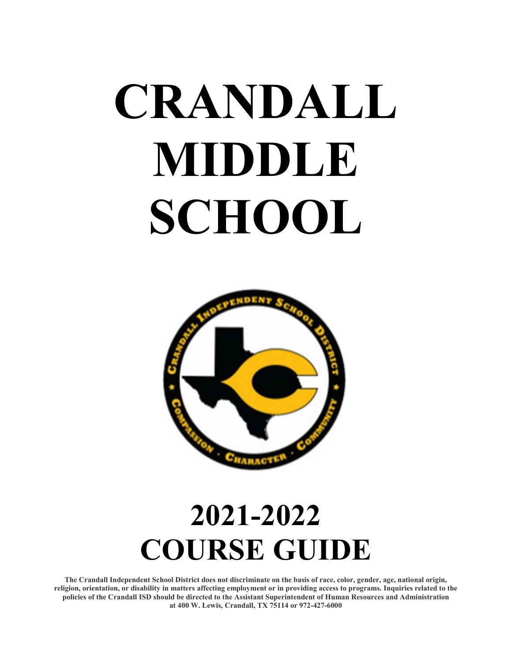# **CRANDALL MIDDLE SCHOOL**



# **2021-2022 COURSE GUIDE**

**The Crandall Independent School District does not discriminate on the basis of race, color, gender, age, national origin, religion, orientation, or disability in matters affecting employment or in providing access to programs. Inquiries related to the policies of the Crandall ISD should be directed to the Assistant Superintendent of Human Resources and Administration at 400 W. Lewis, Crandall, TX 75114 or 972-427-6000**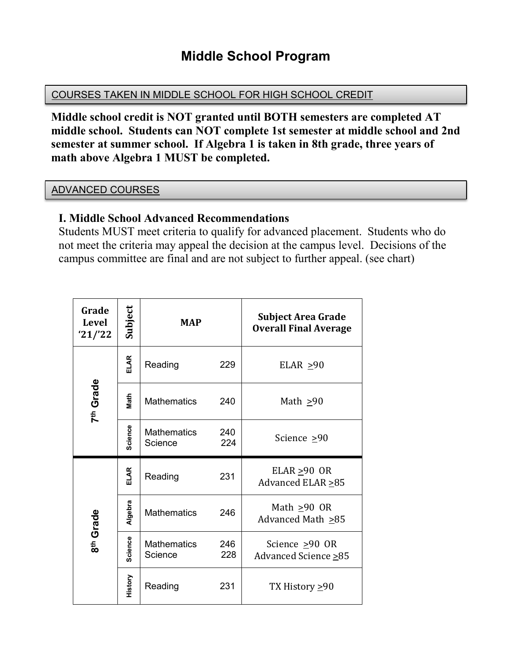# COURSES TAKEN IN MIDDLE SCHOOL FOR HIGH SCHOOL CREDIT

**Middle school credit is NOT granted until BOTH semesters are completed AT middle school. Students can NOT complete 1st semester at middle school and 2nd semester at summer school. If Algebra 1 is taken in 8th grade, three years of math above Algebra 1 MUST be completed.**

### ADVANCED COURSES

#### **I. Middle School Advanced Recommendations**

Students MUST meet criteria to qualify for advanced placement. Students who do not meet the criteria may appeal the decision at the campus level. Decisions of the campus committee are final and are not subject to further appeal. (see chart)

| Grade<br><b>Level</b><br>21/22 | Subject | <b>MAP</b>                    |            | <b>Subject Area Grade</b><br><b>Overall Final Average</b> |
|--------------------------------|---------|-------------------------------|------------|-----------------------------------------------------------|
|                                | ELAR    | Reading                       | 229        | ELAR $\geq 90$                                            |
| 7 <sup>th</sup> Grade          | Math    | Mathematics                   | 240        | Math $\geq 90$                                            |
|                                | Science | <b>Mathematics</b><br>Science | 240<br>224 | Science $\geq 90$                                         |
|                                |         |                               |            |                                                           |
|                                | ELAR    | Reading                       | 231        | ELAR $\geq$ 90 OR<br>Advanced ELAR > 85                   |
|                                | Algebra | <b>Mathematics</b>            | 246        | Math $\geq$ 90 OR<br>Advanced Math >85                    |
| 8 <sup>th</sup> Grade          | Science | <b>Mathematics</b><br>Science | 246<br>228 | Science $\geq 90$ OR<br>Advanced Science > 85             |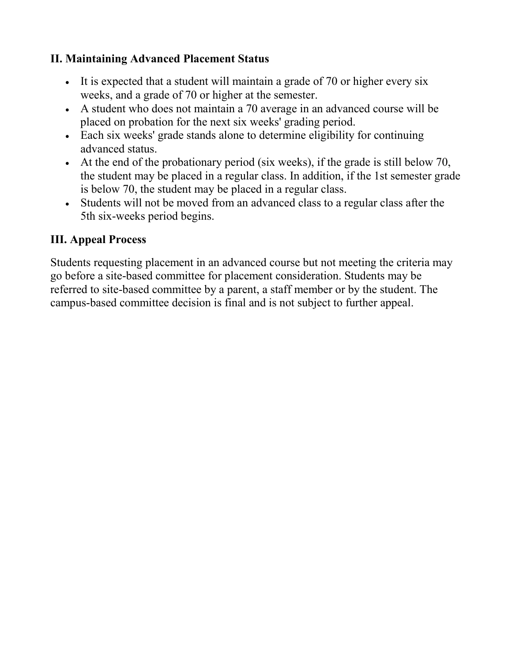# **II. Maintaining Advanced Placement Status**

- It is expected that a student will maintain a grade of 70 or higher every six weeks, and a grade of 70 or higher at the semester.
- A student who does not maintain a 70 average in an advanced course will be placed on probation for the next six weeks' grading period.
- Each six weeks' grade stands alone to determine eligibility for continuing advanced status.
- At the end of the probationary period (six weeks), if the grade is still below 70, the student may be placed in a regular class. In addition, if the 1st semester grade is below 70, the student may be placed in a regular class.
- Students will not be moved from an advanced class to a regular class after the 5th six-weeks period begins.

# **III. Appeal Process**

Students requesting placement in an advanced course but not meeting the criteria may go before a site-based committee for placement consideration. Students may be referred to site-based committee by a parent, a staff member or by the student. The campus-based committee decision is final and is not subject to further appeal.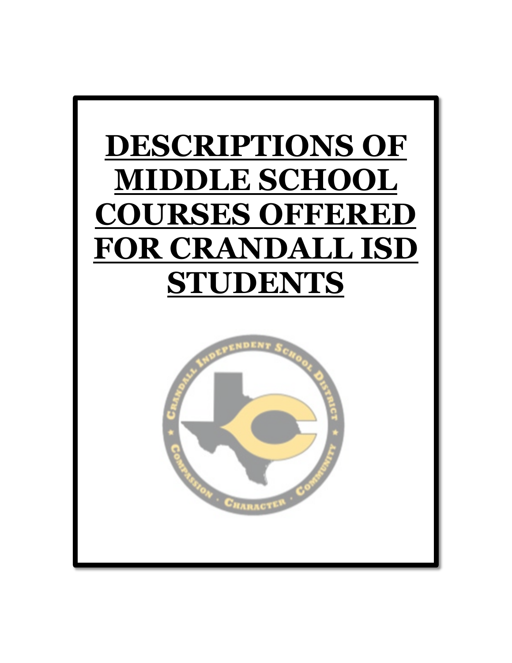# **DESCRIPTIONS OF MIDDLE SCHOOL COURSES OFFERED FOR CRANDALL ISD STUDENTS**

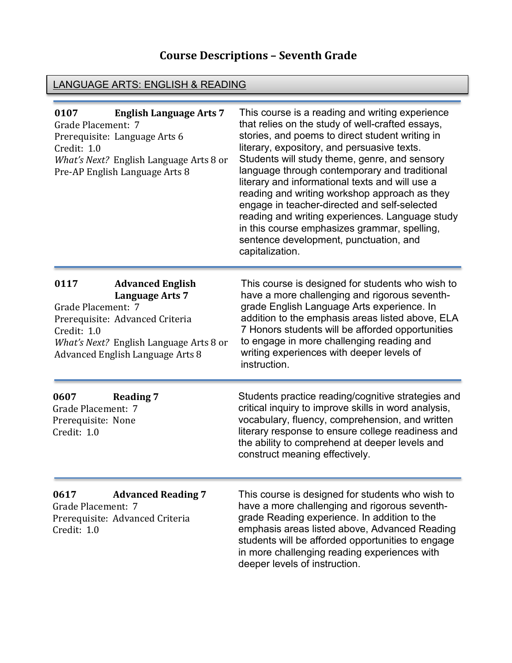# **Course Descriptions – Seventh Grade**

# LANGUAGE ARTS: ENGLISH & READING

| 0107<br>Grade Placement: 7<br>Credit: 1.0                       | <b>English Language Arts 7</b><br>Prerequisite: Language Arts 6<br>What's Next? English Language Arts 8 or<br>Pre-AP English Language Arts 8                        | This course is a reading and writing experience<br>that relies on the study of well-crafted essays,<br>stories, and poems to direct student writing in<br>literary, expository, and persuasive texts.<br>Students will study theme, genre, and sensory<br>language through contemporary and traditional<br>literary and informational texts and will use a<br>reading and writing workshop approach as they<br>engage in teacher-directed and self-selected<br>reading and writing experiences. Language study<br>in this course emphasizes grammar, spelling,<br>sentence development, punctuation, and<br>capitalization. |
|-----------------------------------------------------------------|---------------------------------------------------------------------------------------------------------------------------------------------------------------------|-----------------------------------------------------------------------------------------------------------------------------------------------------------------------------------------------------------------------------------------------------------------------------------------------------------------------------------------------------------------------------------------------------------------------------------------------------------------------------------------------------------------------------------------------------------------------------------------------------------------------------|
| 0117<br>Grade Placement: 7<br>Credit: 1.0                       | <b>Advanced English</b><br><b>Language Arts 7</b><br>Prerequisite: Advanced Criteria<br>What's Next? English Language Arts 8 or<br>Advanced English Language Arts 8 | This course is designed for students who wish to<br>have a more challenging and rigorous seventh-<br>grade English Language Arts experience. In<br>addition to the emphasis areas listed above, ELA<br>7 Honors students will be afforded opportunities<br>to engage in more challenging reading and<br>writing experiences with deeper levels of<br>instruction.                                                                                                                                                                                                                                                           |
| 0607<br>Grade Placement: 7<br>Prerequisite: None<br>Credit: 1.0 | <b>Reading 7</b>                                                                                                                                                    | Students practice reading/cognitive strategies and<br>critical inquiry to improve skills in word analysis,<br>vocabulary, fluency, comprehension, and written<br>literary response to ensure college readiness and<br>the ability to comprehend at deeper levels and<br>construct meaning effectively.                                                                                                                                                                                                                                                                                                                      |
| 0617<br>Grade Placement: 7<br>Credit: 1.0                       | <b>Advanced Reading 7</b><br>Prerequisite: Advanced Criteria                                                                                                        | This course is designed for students who wish to<br>have a more challenging and rigorous seventh-<br>grade Reading experience. In addition to the<br>emphasis areas listed above, Advanced Reading<br>students will be afforded opportunities to engage<br>in more challenging reading experiences with<br>deeper levels of instruction.                                                                                                                                                                                                                                                                                    |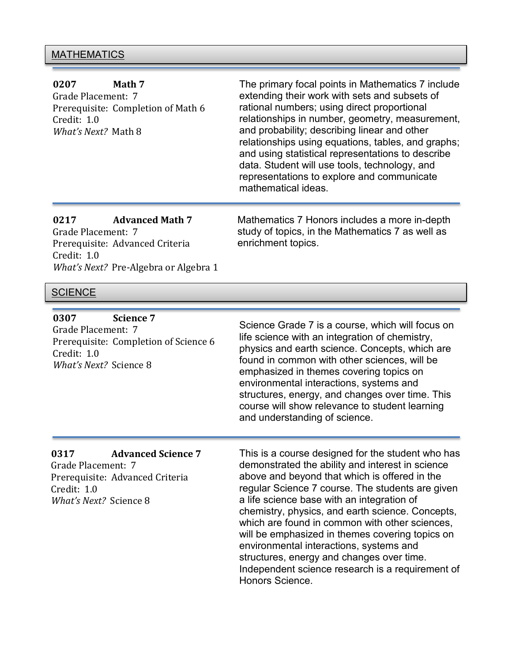#### MATHEMATICS

#### **0207 Math 7**

Grade Placement: 7 Prerequisite: Completion of Math 6 Credit: 1.0 *What's Next?* Math 8

The primary focal points in Mathematics 7 include extending their work with sets and subsets of rational numbers; using direct proportional relationships in number, geometry, measurement, and probability; describing linear and other relationships using equations, tables, and graphs; and using statistical representations to describe data. Student will use tools, technology, and representations to explore and communicate mathematical ideas.

#### **0217 Advanced Math 7**

Grade Placement: 7 Prerequisite: Advanced Criteria Credit: 1.0 *What's Next?* Pre-Algebra or Algebra 1 Mathematics 7 Honors includes a more in-depth study of topics, in the Mathematics 7 as well as enrichment topics.

#### **SCIENCE**

**0307 Science 7** Grade Placement: 7 Prerequisite: Completion of Science 6 Credit: 1.0 *What's Next?* Science 8

Science Grade 7 is a course, which will focus on life science with an integration of chemistry, physics and earth science. Concepts, which are found in common with other sciences, will be emphasized in themes covering topics on environmental interactions, systems and structures, energy, and changes over time. This course will show relevance to student learning and understanding of science.

#### **0317 Advanced Science 7**

Grade Placement: 7 Prerequisite: Advanced Criteria Credit: 1.0 *What's Next?* Science 8

This is a course designed for the student who has demonstrated the ability and interest in science above and beyond that which is offered in the regular Science 7 course. The students are given a life science base with an integration of chemistry, physics, and earth science. Concepts, which are found in common with other sciences, will be emphasized in themes covering topics on environmental interactions, systems and structures, energy and changes over time. Independent science research is a requirement of Honors Science.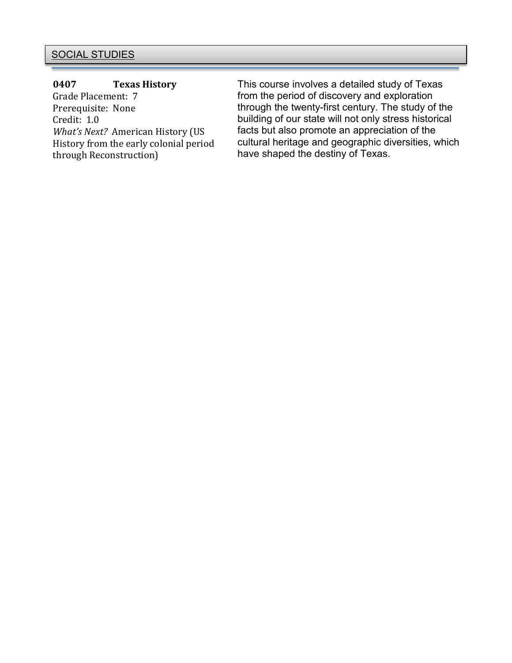#### **0407 Texas History**

Grade Placement: 7 Prerequisite: None Credit: 1.0 *What's Next?* American History (US History from the early colonial period through Reconstruction)

This course involves a detailed study of Texas from the period of discovery and exploration through the twenty-first century. The study of the building of our state will not only stress historical facts but also promote an appreciation of the cultural heritage and geographic diversities, which have shaped the destiny of Texas.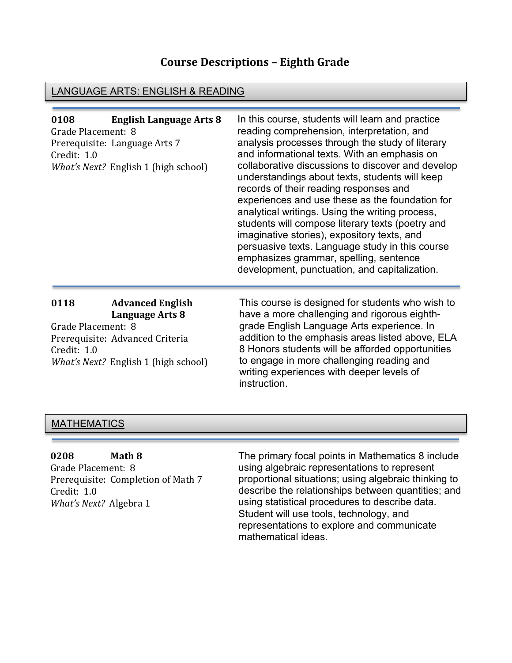# **Course Descriptions – Eighth Grade**

#### LANGUAGE ARTS: ENGLISH & READING

| 0108<br>Grade Placement: 8<br>Credit: $1.0$ | <b>English Language Arts 8</b><br>Prerequisite: Language Arts 7<br>What's Next? English 1 (high school)                      | In this course, students will learn and practice<br>reading comprehension, interpretation, and<br>analysis processes through the study of literary<br>and informational texts. With an emphasis on<br>collaborative discussions to discover and develop<br>understandings about texts, students will keep<br>records of their reading responses and<br>experiences and use these as the foundation for<br>analytical writings. Using the writing process,<br>students will compose literary texts (poetry and<br>imaginative stories), expository texts, and<br>persuasive texts. Language study in this course<br>emphasizes grammar, spelling, sentence<br>development, punctuation, and capitalization. |
|---------------------------------------------|------------------------------------------------------------------------------------------------------------------------------|------------------------------------------------------------------------------------------------------------------------------------------------------------------------------------------------------------------------------------------------------------------------------------------------------------------------------------------------------------------------------------------------------------------------------------------------------------------------------------------------------------------------------------------------------------------------------------------------------------------------------------------------------------------------------------------------------------|
| 0118<br>Grade Placement: 8<br>Credit: 1.0   | <b>Advanced English</b><br>Language Arts 8<br>Prerequisite: Advanced Criteria<br><i>What's Next?</i> English 1 (high school) | This course is designed for students who wish to<br>have a more challenging and rigorous eighth-<br>grade English Language Arts experience. In<br>addition to the emphasis areas listed above, ELA<br>8 Honors students will be afforded opportunities<br>to engage in more challenging reading and<br>writing experiences with deeper levels of<br>instruction.                                                                                                                                                                                                                                                                                                                                           |

#### **MATHEMATICS**

**0208 Math 8** Grade Placement: 8 Prerequisite: Completion of Math 7 Credit: 1.0 *What's Next?* Algebra 1

The primary focal points in Mathematics 8 include using algebraic representations to represent proportional situations; using algebraic thinking to describe the relationships between quantities; and using statistical procedures to describe data. Student will use tools, technology, and representations to explore and communicate mathematical ideas.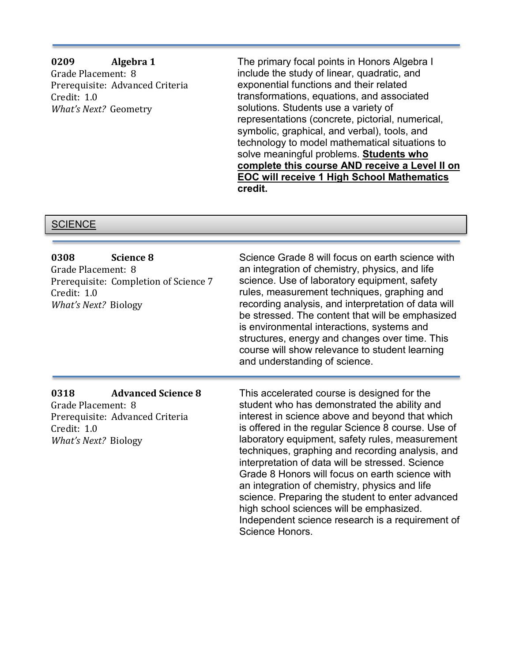#### **0209 Algebra 1**

Grade Placement: 8 Prerequisite: Advanced Criteria Credit: 1.0 *What's Next?* Geometry

The primary focal points in Honors Algebra I include the study of linear, quadratic, and exponential functions and their related transformations, equations, and associated solutions. Students use a variety of representations (concrete, pictorial, numerical, symbolic, graphical, and verbal), tools, and technology to model mathematical situations to solve meaningful problems. **Students who complete this course AND receive a Level II on EOC will receive 1 High School Mathematics credit.** 

#### **SCIENCE**

| 0308<br>Grade Placement: 8<br>Credit: 1.0<br>What's Next? Biology | <b>Science 8</b><br>Prerequisite: Completion of Science 7    | Science Grade 8 will focus on earth science with<br>an integration of chemistry, physics, and life<br>science. Use of laboratory equipment, safety<br>rules, measurement techniques, graphing and<br>recording analysis, and interpretation of data will<br>be stressed. The content that will be emphasized<br>is environmental interactions, systems and<br>structures, energy and changes over time. This<br>course will show relevance to student learning<br>and understanding of science.                                                                                                                                            |
|-------------------------------------------------------------------|--------------------------------------------------------------|--------------------------------------------------------------------------------------------------------------------------------------------------------------------------------------------------------------------------------------------------------------------------------------------------------------------------------------------------------------------------------------------------------------------------------------------------------------------------------------------------------------------------------------------------------------------------------------------------------------------------------------------|
| 0318<br>Grade Placement: 8<br>Credit: 1.0<br>What's Next? Biology | <b>Advanced Science 8</b><br>Prerequisite: Advanced Criteria | This accelerated course is designed for the<br>student who has demonstrated the ability and<br>interest in science above and beyond that which<br>is offered in the regular Science 8 course. Use of<br>laboratory equipment, safety rules, measurement<br>techniques, graphing and recording analysis, and<br>interpretation of data will be stressed. Science<br>Grade 8 Honors will focus on earth science with<br>an integration of chemistry, physics and life<br>science. Preparing the student to enter advanced<br>high school sciences will be emphasized.<br>Independent science research is a requirement of<br>Science Honors. |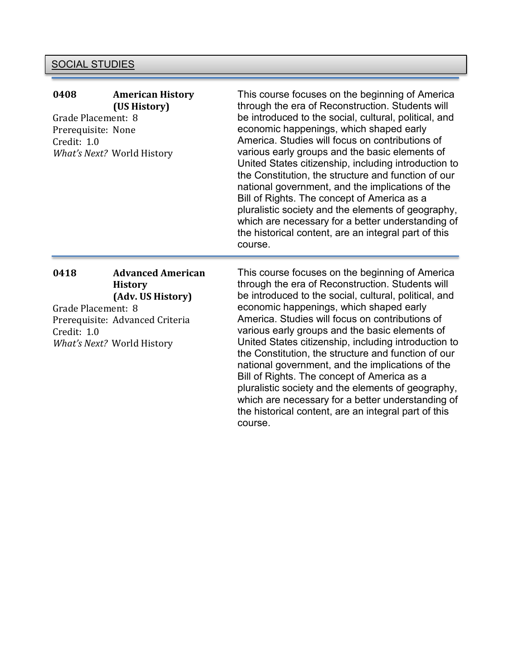# **SOCIAL STUDIES**

| 0408<br>Grade Placement: 8<br>Prerequisite: None<br>Credit: 1.0 | <b>American History</b><br>(US History)<br>What's Next? World History                                                            | This course focuses on the beginning of America<br>through the era of Reconstruction. Students will<br>be introduced to the social, cultural, political, and<br>economic happenings, which shaped early<br>America. Studies will focus on contributions of<br>various early groups and the basic elements of<br>United States citizenship, including introduction to<br>the Constitution, the structure and function of our<br>national government, and the implications of the<br>Bill of Rights. The concept of America as a<br>pluralistic society and the elements of geography,<br>which are necessary for a better understanding of<br>the historical content, are an integral part of this<br>course. |
|-----------------------------------------------------------------|----------------------------------------------------------------------------------------------------------------------------------|--------------------------------------------------------------------------------------------------------------------------------------------------------------------------------------------------------------------------------------------------------------------------------------------------------------------------------------------------------------------------------------------------------------------------------------------------------------------------------------------------------------------------------------------------------------------------------------------------------------------------------------------------------------------------------------------------------------|
| 0418<br>Grade Placement: 8<br>Credit: 1.0                       | <b>Advanced American</b><br><b>History</b><br>(Adv. US History)<br>Prerequisite: Advanced Criteria<br>What's Next? World History | This course focuses on the beginning of America<br>through the era of Reconstruction. Students will<br>be introduced to the social, cultural, political, and<br>economic happenings, which shaped early<br>America. Studies will focus on contributions of<br>various early groups and the basic elements of<br>United States citizenship, including introduction to<br>the Constitution, the structure and function of our<br>national government, and the implications of the<br>Bill of Rights. The concept of America as a<br>pluralistic society and the elements of geography,<br>which are necessary for a better understanding of<br>the historical content, are an integral part of this<br>course. |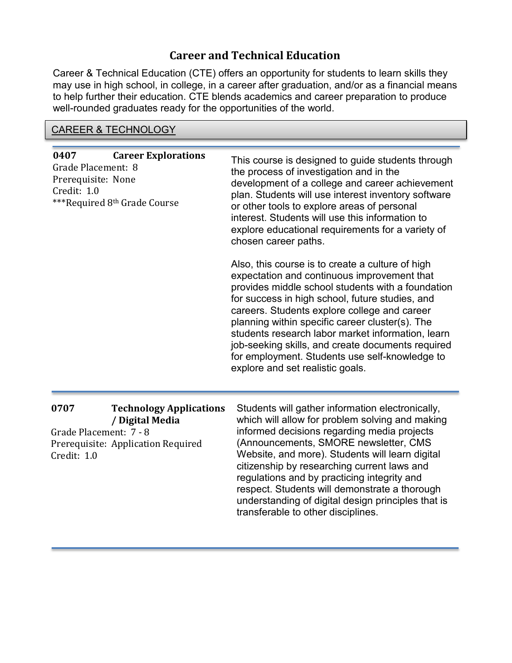# **Career and Technical Education**

Career & Technical Education (CTE) offers an opportunity for students to learn skills they may use in high school, in college, in a career after graduation, and/or as a financial means to help further their education. CTE blends academics and career preparation to produce well-rounded graduates ready for the opportunities of the world.

# CAREER & TECHNOLOGY

| <b>Career Explorations</b><br>0407<br>Grade Placement: 8<br>Prerequisite: None<br>Credit: 1.0<br>***Required 8th Grade Course            | This course is designed to guide students through<br>the process of investigation and in the<br>development of a college and career achievement<br>plan. Students will use interest inventory software<br>or other tools to explore areas of personal<br>interest. Students will use this information to<br>explore educational requirements for a variety of<br>chosen career paths.<br>Also, this course is to create a culture of high<br>expectation and continuous improvement that<br>provides middle school students with a foundation |
|------------------------------------------------------------------------------------------------------------------------------------------|-----------------------------------------------------------------------------------------------------------------------------------------------------------------------------------------------------------------------------------------------------------------------------------------------------------------------------------------------------------------------------------------------------------------------------------------------------------------------------------------------------------------------------------------------|
|                                                                                                                                          | for success in high school, future studies, and<br>careers. Students explore college and career<br>planning within specific career cluster(s). The<br>students research labor market information, learn<br>job-seeking skills, and create documents required<br>for employment. Students use self-knowledge to<br>explore and set realistic goals.                                                                                                                                                                                            |
| 0707<br><b>Technology Applications</b><br>/ Digital Media<br>Grade Placement: 7 - 8<br>Prerequisite: Application Required<br>Credit: 1.0 | Students will gather information electronically,<br>which will allow for problem solving and making<br>informed decisions regarding media projects<br>(Announcements, SMORE newsletter, CMS<br>Website, and more). Students will learn digital<br>citizenship by researching current laws and<br>regulations and by practicing integrity and<br>respect. Students will demonstrate a thorough<br>understanding of digital design principles that is<br>transferable to other disciplines.                                                     |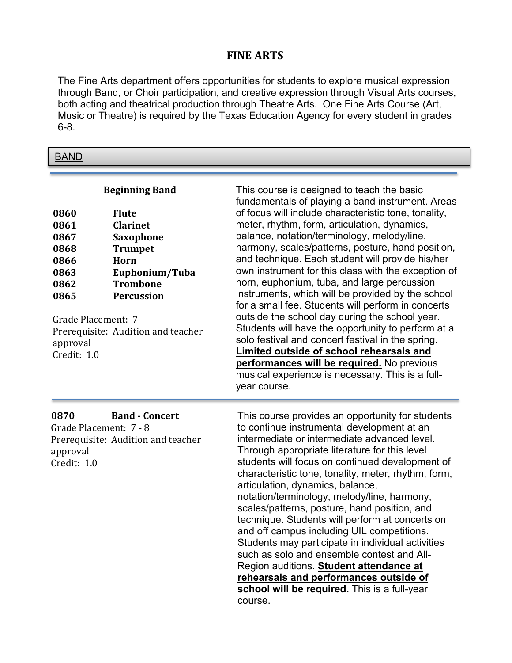#### **FINE ARTS**

The Fine Arts department offers opportunities for students to explore musical expression through Band, or Choir participation, and creative expression through Visual Arts courses, both acting and theatrical production through Theatre Arts. One Fine Arts Course (Art, Music or Theatre) is required by the Texas Education Agency for every student in grades 6-8.

#### BAND

| 0860<br>0861<br>0867<br>0868<br>0866<br>0863<br>0862<br>0865<br>Grade Placement: 7<br>approval<br>Credit: 1.0 | <b>Beginning Band</b><br><b>Flute</b><br><b>Clarinet</b><br>Saxophone<br><b>Trumpet</b><br>Horn<br>Euphonium/Tuba<br><b>Trombone</b><br><b>Percussion</b><br>Prerequisite: Audition and teacher | This course is designed to teach the basic<br>fundamentals of playing a band instrument. Areas<br>of focus will include characteristic tone, tonality,<br>meter, rhythm, form, articulation, dynamics,<br>balance, notation/terminology, melody/line,<br>harmony, scales/patterns, posture, hand position,<br>and technique. Each student will provide his/her<br>own instrument for this class with the exception of<br>horn, euphonium, tuba, and large percussion<br>instruments, which will be provided by the school<br>for a small fee. Students will perform in concerts<br>outside the school day during the school year.<br>Students will have the opportunity to perform at a<br>solo festival and concert festival in the spring.<br>Limited outside of school rehearsals and<br>performances will be required. No previous<br>musical experience is necessary. This is a full-<br>year course. |
|---------------------------------------------------------------------------------------------------------------|-------------------------------------------------------------------------------------------------------------------------------------------------------------------------------------------------|------------------------------------------------------------------------------------------------------------------------------------------------------------------------------------------------------------------------------------------------------------------------------------------------------------------------------------------------------------------------------------------------------------------------------------------------------------------------------------------------------------------------------------------------------------------------------------------------------------------------------------------------------------------------------------------------------------------------------------------------------------------------------------------------------------------------------------------------------------------------------------------------------------|
| 0870<br>Grade Placement: 7 - 8<br>approval<br>Credit: 1.0                                                     | <b>Band - Concert</b><br>Prerequisite: Audition and teacher                                                                                                                                     | This course provides an opportunity for students<br>to continue instrumental development at an<br>intermediate or intermediate advanced level.<br>Through appropriate literature for this level<br>students will focus on continued development of<br>characteristic tone, tonality, meter, rhythm, form,<br>articulation, dynamics, balance,<br>notation/terminology, melody/line, harmony,<br>scales/patterns, posture, hand position, and<br>technique. Students will perform at concerts on<br>and off campus including UIL competitions.<br>Students may participate in individual activities<br>such as solo and ensemble contest and All-<br>Region auditions. Student attendance at<br>rehearsals and performances outside of<br>school will be required. This is a full-year<br>course.                                                                                                           |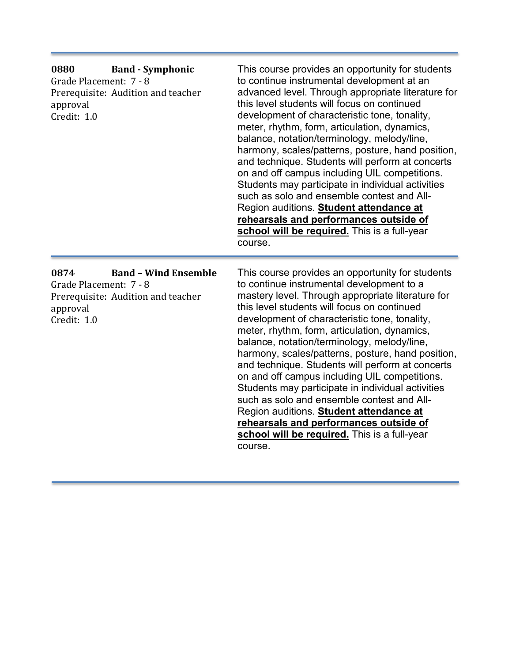| 0880<br>Grade Placement: 7 - 8<br>approval<br>Credit: 1.0 | <b>Band</b> - Symphonic<br>Prerequisite: Audition and teacher     | This course provides an opportunity for students<br>to continue instrumental development at an<br>advanced level. Through appropriate literature for<br>this level students will focus on continued<br>development of characteristic tone, tonality,<br>meter, rhythm, form, articulation, dynamics,<br>balance, notation/terminology, melody/line,<br>harmony, scales/patterns, posture, hand position,<br>and technique. Students will perform at concerts<br>on and off campus including UIL competitions.<br>Students may participate in individual activities<br>such as solo and ensemble contest and All-<br>Region auditions. Student attendance at<br>rehearsals and performances outside of<br>school will be required. This is a full-year<br>course. |
|-----------------------------------------------------------|-------------------------------------------------------------------|------------------------------------------------------------------------------------------------------------------------------------------------------------------------------------------------------------------------------------------------------------------------------------------------------------------------------------------------------------------------------------------------------------------------------------------------------------------------------------------------------------------------------------------------------------------------------------------------------------------------------------------------------------------------------------------------------------------------------------------------------------------|
| 0874<br>Grade Placement: 7 - 8<br>approval<br>Credit: 1.0 | <b>Band - Wind Ensemble</b><br>Prerequisite: Audition and teacher | This course provides an opportunity for students<br>to continue instrumental development to a<br>mastery level. Through appropriate literature for<br>this level students will focus on continued<br>development of characteristic tone, tonality,<br>meter, rhythm, form, articulation, dynamics,<br>balance, notation/terminology, melody/line,<br>harmony, scales/patterns, posture, hand position,<br>and technique. Students will perform at concerts<br>on and off campus including UIL competitions.<br>Students may participate in individual activities<br>such as solo and ensemble contest and All-<br>Region auditions. Student attendance at<br>rehearsals and performances outside of<br>school will be required. This is a full-year<br>course.   |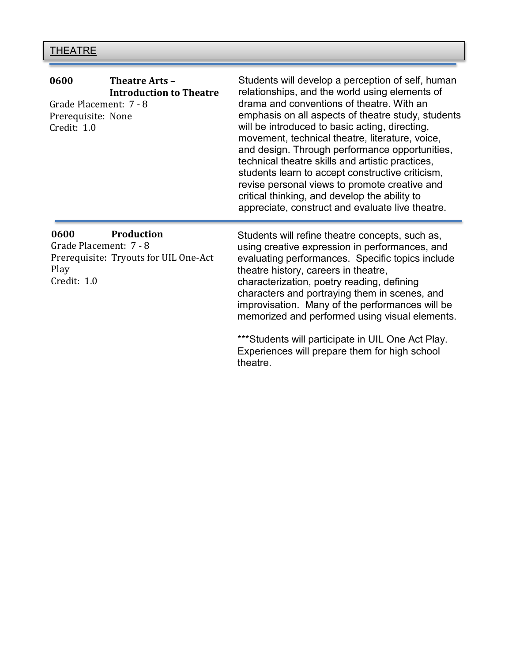# **THEATRE**

| 0600<br>Grade Placement: 7 - 8<br>Prerequisite: None<br>Credit: 1.0 | <b>Theatre Arts -</b><br><b>Introduction to Theatre</b> | Students will develop a perception of self, human<br>relationships, and the world using elements of<br>drama and conventions of theatre. With an<br>emphasis on all aspects of theatre study, students<br>will be introduced to basic acting, directing,<br>movement, technical theatre, literature, voice,<br>and design. Through performance opportunities,<br>technical theatre skills and artistic practices,<br>students learn to accept constructive criticism,<br>revise personal views to promote creative and<br>critical thinking, and develop the ability to<br>appreciate, construct and evaluate live theatre. |
|---------------------------------------------------------------------|---------------------------------------------------------|-----------------------------------------------------------------------------------------------------------------------------------------------------------------------------------------------------------------------------------------------------------------------------------------------------------------------------------------------------------------------------------------------------------------------------------------------------------------------------------------------------------------------------------------------------------------------------------------------------------------------------|
| 0600<br>Grade Placement: 7 - 8<br>Play<br>Credit: 1.0               | Production<br>Prerequisite: Tryouts for UIL One-Act     | Students will refine theatre concepts, such as,<br>using creative expression in performances, and<br>evaluating performances. Specific topics include<br>theatre history, careers in theatre,<br>characterization, poetry reading, defining<br>characters and portraying them in scenes, and<br>improvisation. Many of the performances will be<br>memorized and performed using visual elements.<br>*** Students will participate in UIL One Act Play.<br>Experiences will prepare them for high school<br>theatre.                                                                                                        |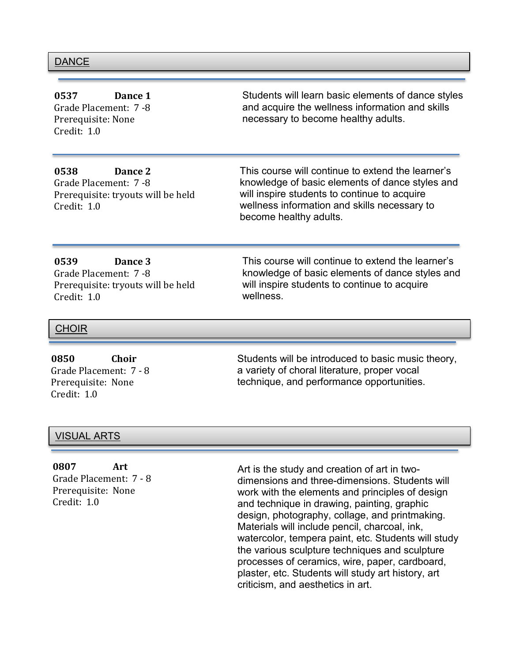#### **DANCE**

| 0537<br>Grade Placement: 7-8<br>Prerequisite: None<br>Credit: 1.0   | Dance 1                                       | Students will learn basic elements of dance styles<br>and acquire the wellness information and skills<br>necessary to become healthy adults.                                                                                   |
|---------------------------------------------------------------------|-----------------------------------------------|--------------------------------------------------------------------------------------------------------------------------------------------------------------------------------------------------------------------------------|
| 0538<br>Grade Placement: 7-8<br>Credit: 1.0                         | Dance 2<br>Prerequisite: tryouts will be held | This course will continue to extend the learner's<br>knowledge of basic elements of dance styles and<br>will inspire students to continue to acquire<br>wellness information and skills necessary to<br>become healthy adults. |
| 0539<br>Grade Placement: 7-8<br>Credit: 1.0                         | Dance 3<br>Prerequisite: tryouts will be held | This course will continue to extend the learner's<br>knowledge of basic elements of dance styles and<br>will inspire students to continue to acquire<br>wellness.                                                              |
| <b>CHOIR</b>                                                        |                                               |                                                                                                                                                                                                                                |
| 0850<br>Grade Placement: 7 - 8<br>Prerequisite: None<br>Credit: 1.0 | <b>Choir</b>                                  | Students will be introduced to basic music theory,<br>a variety of choral literature, proper vocal<br>technique, and performance opportunities.                                                                                |

#### VISUAL ARTS

**0807 Art** Grade Placement: 7 - 8 Prerequisite: None Credit: 1.0

Art is the study and creation of art in twodimensions and three-dimensions. Students will work with the elements and principles of design and technique in drawing, painting, graphic design, photography, collage, and printmaking. Materials will include pencil, charcoal, ink, watercolor, tempera paint, etc. Students will study the various sculpture techniques and sculpture processes of ceramics, wire, paper, cardboard, plaster, etc. Students will study art history, art criticism, and aesthetics in art.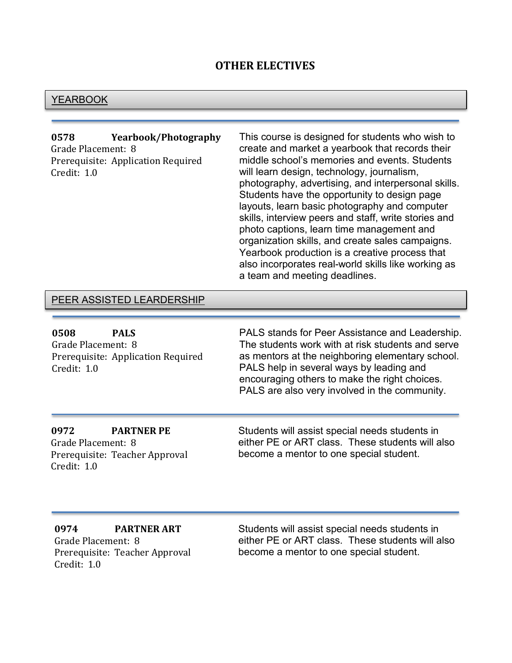## **OTHER ELECTIVES**

#### YEARBOOK

| 0578               | Yearbook/Photography               |
|--------------------|------------------------------------|
| Grade Placement: 8 |                                    |
|                    | Prerequisite: Application Required |
| Credit: 1.0        |                                    |

This course is designed for students who wish to create and market a yearbook that records their middle school's memories and events. Students will learn design, technology, journalism, photography, advertising, and interpersonal skills. Students have the opportunity to design page layouts, learn basic photography and computer skills, interview peers and staff, write stories and photo captions, learn time management and organization skills, and create sales campaigns. Yearbook production is a creative process that also incorporates real-world skills like working as a team and meeting deadlines.

#### PEER ASSISTED LEARDERSHIP

**0508 PALS** Grade Placement: 8 Prerequisite: Application Required Credit: 1.0

PALS stands for Peer Assistance and Leadership. The students work with at risk students and serve as mentors at the neighboring elementary school. PALS help in several ways by leading and encouraging others to make the right choices. PALS are also very involved in the community.

#### **0972 PARTNER PE** Grade Placement: 8 Prerequisite: Teacher Approval

Credit: 1.0

Credit: 1.0

Students will assist special needs students in either PE or ART class. These students will also become a mentor to one special student.

**0974 PARTNER ART** Grade Placement: 8 Prerequisite: Teacher Approval Students will assist special needs students in either PE or ART class. These students will also become a mentor to one special student.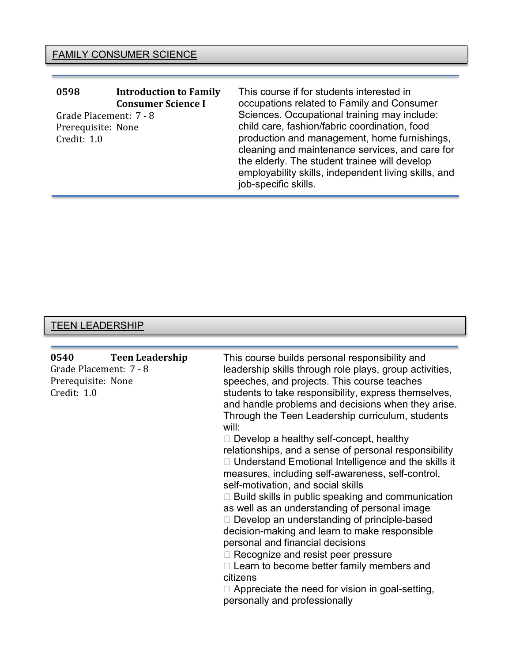#### **0598 Introduction to Family Consumer Science I** Grade Placement: 7 - 8 Prerequisite: None Credit: 1.0

This course if for students interested in occupations related to Family and Consumer Sciences. Occupational training may include: child care, fashion/fabric coordination, food production and management, home furnishings, cleaning and maintenance services, and care for the elderly. The student trainee will develop employability skills, independent living skills, and job-specific skills.

#### TEEN LEADERSHIP

| <b>Teen Leadership</b><br>0540<br>Grade Placement: 7 - 8<br>Prerequisite: None<br>Credit: 1.0 | This course builds personal responsibility and<br>leadership skills through role plays, group activities,<br>speeches, and projects. This course teaches<br>students to take responsibility, express themselves,<br>and handle problems and decisions when they arise.<br>Through the Teen Leadership curriculum, students<br>will:<br>$\Box$ Develop a healthy self-concept, healthy<br>relationships, and a sense of personal responsibility<br>□ Understand Emotional Intelligence and the skills it<br>measures, including self-awareness, self-control,<br>self-motivation, and social skills<br>$\Box$ Build skills in public speaking and communication<br>as well as an understanding of personal image<br>$\Box$ Develop an understanding of principle-based<br>decision-making and learn to make responsible<br>personal and financial decisions<br>$\Box$ Recognize and resist peer pressure<br>$\Box$ Learn to become better family members and<br>citizens<br>$\Box$ Appreciate the need for vision in goal-setting, |
|-----------------------------------------------------------------------------------------------|-----------------------------------------------------------------------------------------------------------------------------------------------------------------------------------------------------------------------------------------------------------------------------------------------------------------------------------------------------------------------------------------------------------------------------------------------------------------------------------------------------------------------------------------------------------------------------------------------------------------------------------------------------------------------------------------------------------------------------------------------------------------------------------------------------------------------------------------------------------------------------------------------------------------------------------------------------------------------------------------------------------------------------------|
|                                                                                               | personally and professionally                                                                                                                                                                                                                                                                                                                                                                                                                                                                                                                                                                                                                                                                                                                                                                                                                                                                                                                                                                                                     |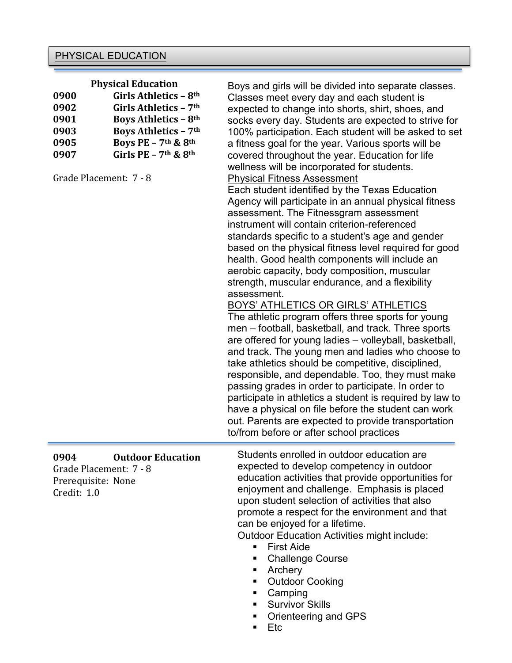| 0900<br>0902<br>0901<br>0903<br>0905<br>0907 | <b>Physical Education</b><br>Girls Athletics - 8th<br>Girls Athletics - 7th<br><b>Boys Athletics - 8th</b><br><b>Boys Athletics - 7th</b><br>Boys PE - 7th & 8th<br>Girls PE - $7th$ & $8th$<br>Grade Placement: 7 - 8 | Boys and girls will be divided into separate classes.<br>Classes meet every day and each student is<br>expected to change into shorts, shirt, shoes, and<br>socks every day. Students are expected to strive for<br>100% participation. Each student will be asked to set<br>a fitness goal for the year. Various sports will be<br>covered throughout the year. Education for life<br>wellness will be incorporated for students.<br><b>Physical Fitness Assessment</b><br>Each student identified by the Texas Education<br>Agency will participate in an annual physical fitness<br>assessment. The Fitnessgram assessment<br>instrument will contain criterion-referenced<br>standards specific to a student's age and gender<br>based on the physical fitness level required for good<br>health. Good health components will include an<br>aerobic capacity, body composition, muscular<br>strength, muscular endurance, and a flexibility<br>assessment.<br><b>BOYS' ATHLETICS OR GIRLS' ATHLETICS</b><br>The athletic program offers three sports for young<br>men – football, basketball, and track. Three sports<br>are offered for young ladies - volleyball, basketball,<br>and track. The young men and ladies who choose to<br>take athletics should be competitive, disciplined,<br>responsible, and dependable. Too, they must make<br>passing grades in order to participate. In order to<br>participate in athletics a student is required by law to<br>have a physical on file before the student can work<br>out. Parents are expected to provide transportation<br>to/from before or after school practices |
|----------------------------------------------|------------------------------------------------------------------------------------------------------------------------------------------------------------------------------------------------------------------------|---------------------------------------------------------------------------------------------------------------------------------------------------------------------------------------------------------------------------------------------------------------------------------------------------------------------------------------------------------------------------------------------------------------------------------------------------------------------------------------------------------------------------------------------------------------------------------------------------------------------------------------------------------------------------------------------------------------------------------------------------------------------------------------------------------------------------------------------------------------------------------------------------------------------------------------------------------------------------------------------------------------------------------------------------------------------------------------------------------------------------------------------------------------------------------------------------------------------------------------------------------------------------------------------------------------------------------------------------------------------------------------------------------------------------------------------------------------------------------------------------------------------------------------------------------------------------------------------------------------------------------|
| 0904<br>Credit: 1.0                          | <b>Outdoor Education</b><br>Grade Placement: 7 - 8<br>Prerequisite: None                                                                                                                                               | Students enrolled in outdoor education are<br>expected to develop competency in outdoor<br>education activities that provide opportunities for<br>enjoyment and challenge. Emphasis is placed<br>upon student selection of activities that also<br>promote a respect for the environment and that<br>can be enjoyed for a lifetime.<br><b>Outdoor Education Activities might include:</b><br><b>First Aide</b><br>п.<br><b>Challenge Course</b><br>٠<br>Archery<br>٠<br><b>Outdoor Cooking</b><br>ш<br>Camping<br>п                                                                                                                                                                                                                                                                                                                                                                                                                                                                                                                                                                                                                                                                                                                                                                                                                                                                                                                                                                                                                                                                                                             |

- **Survivor Skills**
- Orienteering and GPS
- $\blacksquare$  Etc